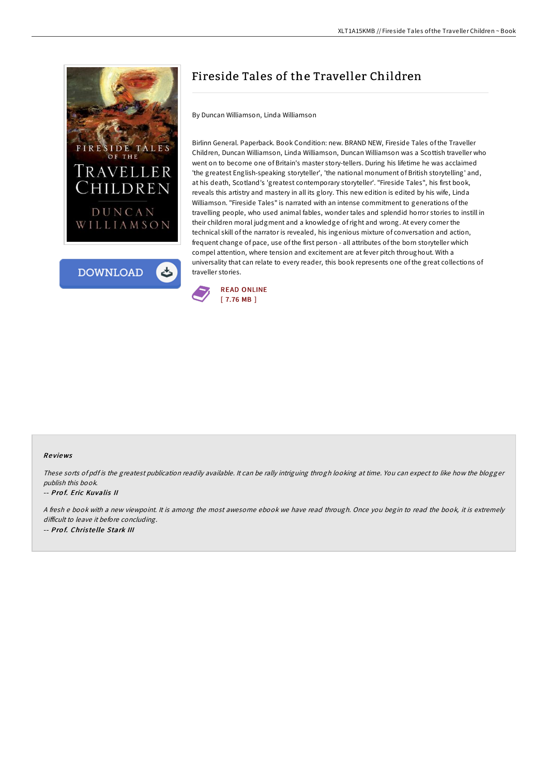



## Fireside Tales of the Traveller Children

By Duncan Williamson, Linda Williamson

Birlinn General. Paperback. Book Condition: new. BRAND NEW, Fireside Tales of the Traveller Children, Duncan Williamson, Linda Williamson, Duncan Williamson was a Scottish traveller who went on to become one of Britain's master story-tellers. During his lifetime he was acclaimed 'the greatest English-speaking storyteller', 'the national monument of British storytelling' and, at his death, Scotland's 'greatest contemporary storyteller'. "Fireside Tales", his first book, reveals this artistry and mastery in all its glory. This new edition is edited by his wife, Linda Williamson. "Fireside Tales" is narrated with an intense commitment to generations of the travelling people, who used animal fables, wonder tales and splendid horror stories to instill in their children moral judgment and a knowledge ofright and wrong. At every corner the technical skill of the narrator is revealed, his ingenious mixture of conversation and action, frequent change of pace, use of the first person - all attributes of the born storyteller which compel attention, where tension and excitement are at fever pitch throughout. With a universality that can relate to every reader, this book represents one of the great collections of traveller stories.



## Re views

These sorts of pdf is the greatest publication readily available. It can be rally intriguing throgh looking at time. You can expect to like how the blogger publish this book.

## -- Prof. Eric Kuvalis II

<sup>A</sup> fresh <sup>e</sup> book with <sup>a</sup> new viewpoint. It is among the most awesome ebook we have read through. Once you begin to read the book, it is extremely difficult to leave it before concluding. -- Prof. Christelle Stark III